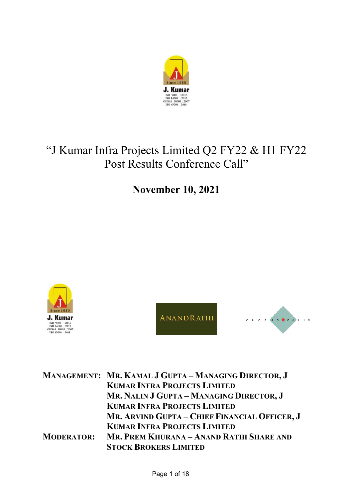

# "J Kumar Infra Projects Limited Q2 FY22 & H1 FY22 Post Results Conference Call"

**November 10, 2021**



ANANDRATHI



|                   | MANAGEMENT: MR. KAMAL J GUPTA - MANAGING DIRECTOR, J |
|-------------------|------------------------------------------------------|
|                   | <b>KUMAR INFRA PROJECTS LIMITED</b>                  |
|                   | MR. NALIN J GUPTA - MANAGING DIRECTOR, J             |
|                   | <b>KUMAR INFRA PROJECTS LIMITED</b>                  |
|                   | MR. ARVIND GUPTA - CHIEF FINANCIAL OFFICER, J        |
|                   | <b>KUMAR INFRA PROJECTS LIMITED</b>                  |
| <b>MODERATOR:</b> | MR. PREM KHURANA – ANAND RATHI SHARE AND             |
|                   | <b>STOCK BROKERS LIMITED</b>                         |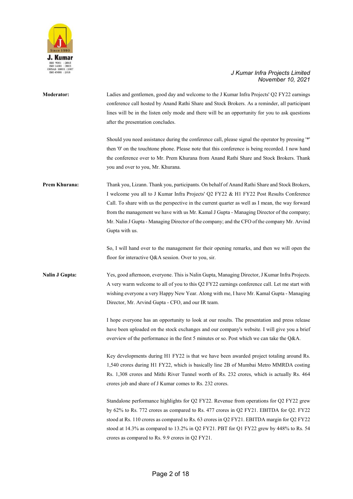

| <b>Moderator:</b>     | Ladies and gentlemen, good day and welcome to the J Kumar Infra Projects' Q2 FY22 earnings<br>conference call hosted by Anand Rathi Share and Stock Brokers. As a reminder, all participant<br>lines will be in the listen only mode and there will be an opportunity for you to ask questions<br>after the presentation concludes.                                                                                                                                                                       |
|-----------------------|-----------------------------------------------------------------------------------------------------------------------------------------------------------------------------------------------------------------------------------------------------------------------------------------------------------------------------------------------------------------------------------------------------------------------------------------------------------------------------------------------------------|
|                       | Should you need assistance during the conference call, please signal the operator by pressing '*'<br>then '0' on the touchtone phone. Please note that this conference is being recorded. I now hand<br>the conference over to Mr. Prem Khurana from Anand Rathi Share and Stock Brokers. Thank<br>you and over to you, Mr. Khurana.                                                                                                                                                                      |
| Prem Khurana:         | Thank you, Lizann. Thank you, participants. On behalf of Anand Rathi Share and Stock Brokers,<br>I welcome you all to J Kumar Infra Projects' Q2 FY22 & H1 FY22 Post Results Conference<br>Call. To share with us the perspective in the current quarter as well as I mean, the way forward<br>from the management we have with us Mr. Kamal J Gupta - Managing Director of the company;<br>Mr. Nalin J Gupta - Managing Director of the company; and the CFO of the company Mr. Arvind<br>Gupta with us. |
|                       | So, I will hand over to the management for their opening remarks, and then we will open the<br>floor for interactive Q&A session. Over to you, sir.                                                                                                                                                                                                                                                                                                                                                       |
| <b>Nalin J Gupta:</b> | Yes, good afternoon, everyone. This is Nalin Gupta, Managing Director, J Kumar Infra Projects.<br>A very warm welcome to all of you to this Q2 FY22 earnings conference call. Let me start with<br>wishing everyone a very Happy New Year. Along with me, I have Mr. Kamal Gupta - Managing<br>Director, Mr. Arvind Gupta - CFO, and our IR team.                                                                                                                                                         |
|                       | I hope everyone has an opportunity to look at our results. The presentation and press release<br>have been uploaded on the stock exchanges and our company's website. I will give you a brief<br>overview of the performance in the first 5 minutes or so. Post which we can take the Q&A.                                                                                                                                                                                                                |
|                       | Key developments during H1 FY22 is that we have been awarded project totaling around Rs.<br>1,540 crores during H1 FY22, which is basically line 2B of Mumbai Metro MMRDA costing<br>Rs. 1,308 crores and Mithi River Tunnel worth of Rs. 232 crores, which is actually Rs. 464<br>crores job and share of J Kumar comes to Rs. 232 crores.                                                                                                                                                               |
|                       | Standalone performance highlights for Q2 FY22. Revenue from operations for Q2 FY22 grew<br>by 62% to Rs. 772 crores as compared to Rs. 477 crores in Q2 FY21. EBITDA for Q2. FY22<br>stood at Rs. 110 crores as compared to Rs. 63 crores in Q2 FY21. EBITDA margin for Q2 FY22<br>stood at 14.3% as compared to 13.2% in Q2 FY21. PBT for Q1 FY22 grew by 448% to Rs. 54<br>crores as compared to Rs. 9.9 crores in Q2 FY21.                                                                             |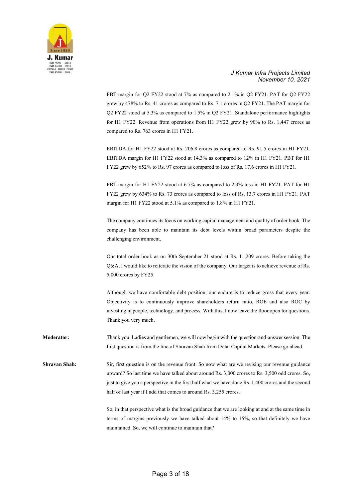

PBT margin for Q2 FY22 stood at 7% as compared to 2.1% in Q2 FY21. PAT for Q2 FY22 grew by 478% to Rs. 41 crores as compared to Rs. 7.1 crores in Q2 FY21. The PAT margin for Q2 FY22 stood at 5.3% as compared to 1.5% in Q2 FY21. Standalone performance highlights for H1 FY22. Revenue from operations from H1 FY22 grew by 90% to Rs. 1,447 crores as compared to Rs. 763 crores in H1 FY21.

EBITDA for H1 FY22 stood at Rs. 206.8 crores as compared to Rs. 91.5 crores in H1 FY21. EBITDA margin for H1 FY22 stood at 14.3% as compared to 12% in H1 FY21. PBT for H1 FY22 grew by 652% to Rs. 97 crores as compared to loss of Rs. 17.6 crores in H1 FY21.

PBT margin for H1 FY22 stood at 6.7% as compared to 2.3% loss in H1 FY21. PAT for H1 FY22 grew by 634% to Rs. 73 crores as compared to loss of Rs. 13.7 crores in H1 FY21. PAT margin for H1 FY22 stood at 5.1% as compared to 1.8% in H1 FY21.

The company continues its focus on working capital management and quality of order book. The company has been able to maintain its debt levels within broad parameters despite the challenging environment.

Our total order book as on 30th September 21 stood at Rs. 11,209 crores. Before taking the Q&A, I would like to reiterate the vision of the company. Our target is to achieve revenue of Rs. 5,000 crores by FY25.

Although we have comfortable debt position, our endure is to reduce gross that every year. Objectivity is to continuously improve shareholders return ratio, ROE and also ROC by investing in people, technology, and process. With this, I now leave the floor open for questions. Thank you very much.

**Moderator:** Thank you. Ladies and gentlemen, we will now begin with the question-and-answer session. The first question is from the line of Shravan Shah from Dolat Capital Markets. Please go ahead.

**Shravan Shah:** Sir, first question is on the revenue front. So now what are we revising our revenue guidance upward? So last time we have talked about around Rs. 3,000 crores to Rs. 3,500 odd crores. So, just to give you a perspective in the first half what we have done Rs. 1,400 crores and the second half of last year if I add that comes to around Rs. 3,255 crores.

> So, in that perspective what is the broad guidance that we are looking at and at the same time in terms of margins previously we have talked about 14% to 15%, so that definitely we have maintained. So, we will continue to maintain that?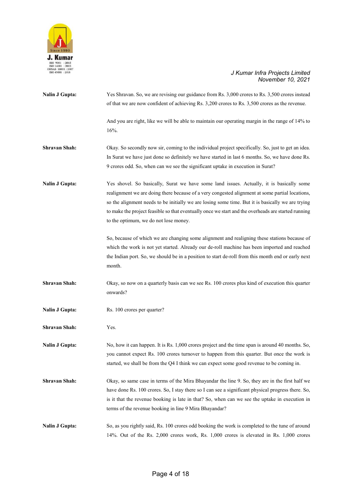

| <b>Nalin J Gupta:</b> | Yes Shravan. So, we are revising our guidance from Rs. 3,000 crores to Rs. 3,500 crores instead<br>of that we are now confident of achieving Rs. 3,200 crores to Rs. 3,500 crores as the revenue.                                                                                                                                                                                                                                                |
|-----------------------|--------------------------------------------------------------------------------------------------------------------------------------------------------------------------------------------------------------------------------------------------------------------------------------------------------------------------------------------------------------------------------------------------------------------------------------------------|
|                       | And you are right, like we will be able to maintain our operating margin in the range of 14% to<br>16%.                                                                                                                                                                                                                                                                                                                                          |
| <b>Shravan Shah:</b>  | Okay. So secondly now sir, coming to the individual project specifically. So, just to get an idea.<br>In Surat we have just done so definitely we have started in last 6 months. So, we have done Rs.<br>9 crores odd. So, when can we see the significant uptake in execution in Surat?                                                                                                                                                         |
| <b>Nalin J Gupta:</b> | Yes shovel. So basically, Surat we have some land issues. Actually, it is basically some<br>realignment we are doing there because of a very congested alignment at some partial locations,<br>so the alignment needs to be initially we are losing some time. But it is basically we are trying<br>to make the project feasible so that eventually once we start and the overheads are started running<br>to the optimum, we do not lose money. |
|                       | So, because of which we are changing some alignment and realigning these stations because of<br>which the work is not yet started. Already our de-roll machine has been imported and reached<br>the Indian port. So, we should be in a position to start de-roll from this month end or early next<br>month.                                                                                                                                     |
| <b>Shravan Shah:</b>  | Okay, so now on a quarterly basis can we see Rs. 100 crores plus kind of execution this quarter<br>onwards?                                                                                                                                                                                                                                                                                                                                      |
| <b>Nalin J Gupta:</b> | Rs. 100 crores per quarter?                                                                                                                                                                                                                                                                                                                                                                                                                      |
| <b>Shravan Shah:</b>  | Yes.                                                                                                                                                                                                                                                                                                                                                                                                                                             |
| <b>Nalin J Gupta:</b> | No, how it can happen. It is Rs. 1,000 crores project and the time span is around 40 months. So,<br>you cannot expect Rs. 100 crores turnover to happen from this quarter. But once the work is<br>started, we shall be from the Q4 I think we can expect some good revenue to be coming in.                                                                                                                                                     |
| <b>Shravan Shah:</b>  | Okay, so same case in terms of the Mira Bhayandar the line 9. So, they are in the first half we<br>have done Rs. 100 crores. So, I stay there so I can see a significant physical progress there. So,<br>is it that the revenue booking is late in that? So, when can we see the uptake in execution in<br>terms of the revenue booking in line 9 Mira Bhayandar?                                                                                |
| <b>Nalin J Gupta:</b> | So, as you rightly said, Rs. 100 crores odd booking the work is completed to the tune of around<br>14%. Out of the Rs. 2,000 crores work, Rs. 1,000 crores is elevated in Rs. 1,000 crores                                                                                                                                                                                                                                                       |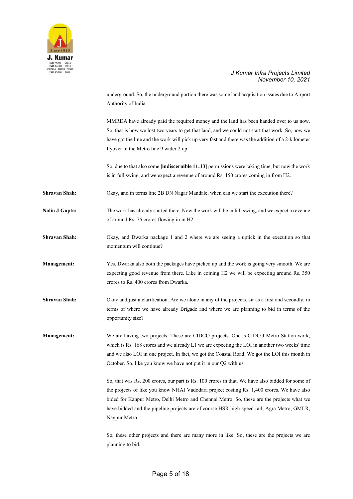

underground. So, the underground portion there was some land acquisition issues due to Airport Authority of India.

MMRDA have already paid the required money and the land has been handed over to us now. So, that is how we lost two years to get that land, and we could not start that work. So, now we have got the line and the work will pick up very fast and there was the addition of a 2-kilometer flyover in the Metro line 9 wider 2 up.

So, due to that also some **[indiscernible 11:13]** permissions were taking time, but now the work is in full swing, and we expect a revenue of around Rs. 150 crores coming in from H2.

**Shravan Shah:** Okay, and in terms line 2B DN Nagar Mandale, when can we start the execution there?

**Nalin J Gupta:** The work has already started there. Now the work will be in full swing, and we expect a revenue of around Rs. 75 crores flowing in in H2.

**Shravan Shah:** Okay, and Dwarka package 1 and 2 where we are seeing a uptick in the execution so that momentum will continue?

**Management:** Yes, Dwarka also both the packages have picked up and the work is going very smooth. We are expecting good revenue from there. Like in coming H2 we will be expecting around Rs. 350 crores to Rs. 400 crores from Dwarka.

**Shravan Shah:** Okay and just a clarification. Are we alone in any of the projects, sir as a first and secondly, in terms of where we have already Brigade and where we are planning to bid in terms of the opportunity size?

**Management:** We are having two projects. These are CIDCO projects. One is CIDCO Metro Station work, which is Rs. 168 crores and we already L1 we are expecting the LOI in another two weeks' time and we also LOI in one project. In fact, we got the Coastal Road. We got the LOI this month in October. So, like you know we have not put it in our Q2 with us.

> So, that was Rs. 200 crores, our part is Rs. 100 crores in that. We have also bidded for some of the projects of like you know NHAI Vadodara project costing Rs. 1,400 crores. We have also bided for Kanpur Metro, Delhi Metro and Chennai Metro. So, these are the projects what we have bidded and the pipeline projects are of course HSR high-speed rail, Agra Metro, GMLR, Nagpur Metro.

> So, these other projects and there are many more in like. So, these are the projects we are planning to bid.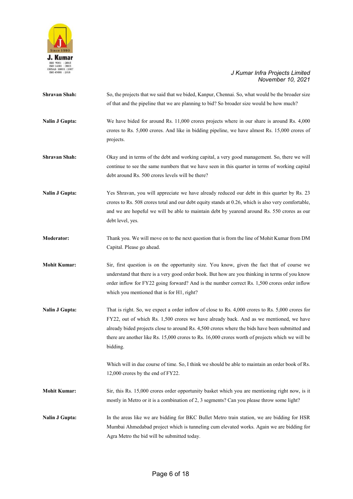

| <b>Shravan Shah:</b>  | So, the projects that we said that we bided, Kanpur, Chennai. So, what would be the broader size<br>of that and the pipeline that we are planning to bid? So broader size would be how much?                                                                                                                                                                                                                 |
|-----------------------|--------------------------------------------------------------------------------------------------------------------------------------------------------------------------------------------------------------------------------------------------------------------------------------------------------------------------------------------------------------------------------------------------------------|
| <b>Nalin J Gupta:</b> | We have bided for around Rs. 11,000 crores projects where in our share is around Rs. 4,000<br>crores to Rs. 5,000 crores. And like in bidding pipeline, we have almost Rs. 15,000 crores of<br>projects.                                                                                                                                                                                                     |
| Shravan Shah:         | Okay and in terms of the debt and working capital, a very good management. So, there we will<br>continue to see the same numbers that we have seen in this quarter in terms of working capital<br>debt around Rs. 500 crores levels will be there?                                                                                                                                                           |
| <b>Nalin J Gupta:</b> | Yes Shravan, you will appreciate we have already reduced our debt in this quarter by Rs. 23<br>crores to Rs. 508 crores total and our debt equity stands at 0.26, which is also very comfortable,<br>and we are hopeful we will be able to maintain debt by yearend around Rs. 550 crores as our<br>debt level, yes.                                                                                         |
| <b>Moderator:</b>     | Thank you. We will move on to the next question that is from the line of Mohit Kumar from DM<br>Capital. Please go ahead.                                                                                                                                                                                                                                                                                    |
| <b>Mohit Kumar:</b>   | Sir, first question is on the opportunity size. You know, given the fact that of course we<br>understand that there is a very good order book. But how are you thinking in terms of you know<br>order inflow for FY22 going forward? And is the number correct Rs. 1,500 crores order inflow<br>which you mentioned that is for H1, right?                                                                   |
| <b>Nalin J Gupta:</b> | That is right. So, we expect a order inflow of close to Rs. 4,000 crores to Rs. 5,000 crores for<br>FY22, out of which Rs. 1,500 crores we have already back. And as we mentioned, we have<br>already bided projects close to around Rs. 4,500 crores where the bids have been submitted and<br>there are another like Rs. 15,000 crores to Rs. 16,000 crores worth of projects which we will be<br>bidding. |
|                       | Which will in due course of time. So, I think we should be able to maintain an order book of Rs.<br>12,000 crores by the end of FY22.                                                                                                                                                                                                                                                                        |
| <b>Mohit Kumar:</b>   | Sir, this Rs. 15,000 crores order opportunity basket which you are mentioning right now, is it<br>mostly in Metro or it is a combination of 2, 3 segments? Can you please throw some light?                                                                                                                                                                                                                  |
| <b>Nalin J Gupta:</b> | In the areas like we are bidding for BKC Bullet Metro train station, we are bidding for HSR<br>Mumbai Ahmedabad project which is tunneling cum elevated works. Again we are bidding for<br>Agra Metro the bid will be submitted today.                                                                                                                                                                       |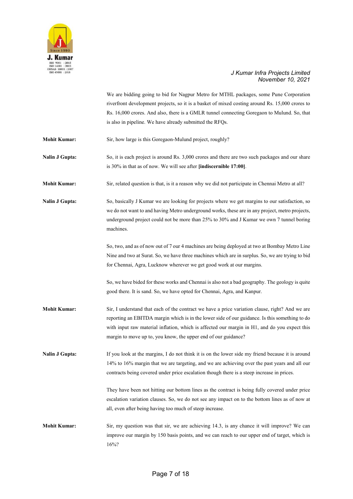

We are bidding going to bid for Nagpur Metro for MTHL packages, some Pune Corporation riverfront development projects, so it is a basket of mixed costing around Rs. 15,000 crores to Rs. 16,000 crores. And also, there is a GMLR tunnel connecting Goregaon to Mulund. So, that is also in pipeline. We have already submitted the RFQs.

- **Mohit Kumar:** Sir, how large is this Goregaon-Mulund project, roughly?
- **Nalin J Gupta:** So, it is each project is around Rs. 3,000 crores and there are two such packages and our share is 30% in that as of now. We will see after **[indiscernible 17:00]**.
- **Mohit Kumar:** Sir, related question is that, is it a reason why we did not participate in Chennai Metro at all?

Nalin J Gupta: So, basically J Kumar we are looking for projects where we get margins to our satisfaction, so we do not want to and having Metro underground works, these are in any project, metro projects, underground project could not be more than 25% to 30% and J Kumar we own 7 tunnel boring machines.

> So, two, and as of now out of 7 our 4 machines are being deployed at two at Bombay Metro Line Nine and two at Surat. So, we have three machines which are in surplus. So, we are trying to bid for Chennai, Agra, Lucknow wherever we get good work at our margins.

So, we have bided for these works and Chennai is also not a bad geography. The geology is quite good there. It is sand. So, we have opted for Chennai, Agra, and Kanpur.

**Mohit Kumar:** Sir, I understand that each of the contract we have a price variation clause, right? And we are reporting an EBITDA margin which is in the lower side of our guidance. Is this something to do with input raw material inflation, which is affected our margin in H1, and do you expect this margin to move up to, you know, the upper end of our guidance?

**Nalin J Gupta:** If you look at the margins, I do not think it is on the lower side my friend because it is around 14% to 16% margin that we are targeting, and we are achieving over the past years and all our contracts being covered under price escalation though there is a steep increase in prices.

> They have been not hitting our bottom lines as the contract is being fully covered under price escalation variation clauses. So, we do not see any impact on to the bottom lines as of now at all, even after being having too much of steep increase.

**Mohit Kumar:** Sir, my question was that sir, we are achieving 14.3, is any chance it will improve? We can improve our margin by 150 basis points, and we can reach to our upper end of target, which is 16%?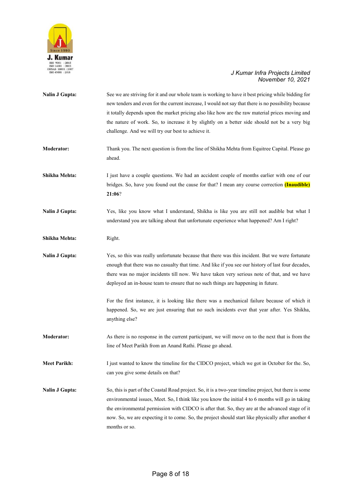

| <b>Nalin J Gupta:</b> | See we are striving for it and our whole team is working to have it best pricing while bidding for<br>new tenders and even for the current increase, I would not say that there is no possibility because<br>it totally depends upon the market pricing also like how are the raw material prices moving and<br>the nature of work. So, to increase it by slightly on a better side should not be a very big<br>challenge. And we will try our best to achieve it. |
|-----------------------|--------------------------------------------------------------------------------------------------------------------------------------------------------------------------------------------------------------------------------------------------------------------------------------------------------------------------------------------------------------------------------------------------------------------------------------------------------------------|
| <b>Moderator:</b>     | Thank you. The next question is from the line of Shikha Mehta from Equitree Capital. Please go<br>ahead.                                                                                                                                                                                                                                                                                                                                                           |
| Shikha Mehta:         | I just have a couple questions. We had an accident couple of months earlier with one of our<br>bridges. So, have you found out the cause for that? I mean any course correction (Inaudible)<br>21:06?                                                                                                                                                                                                                                                              |
| <b>Nalin J Gupta:</b> | Yes, like you know what I understand, Shikha is like you are still not audible but what I<br>understand you are talking about that unfortunate experience what happened? Am I right?                                                                                                                                                                                                                                                                               |
| Shikha Mehta:         | Right.                                                                                                                                                                                                                                                                                                                                                                                                                                                             |
| <b>Nalin J Gupta:</b> | Yes, so this was really unfortunate because that there was this incident. But we were fortunate<br>enough that there was no casualty that time. And like if you see our history of last four decades,<br>there was no major incidents till now. We have taken very serious note of that, and we have<br>deployed an in-house team to ensure that no such things are happening in future.                                                                           |
|                       | For the first instance, it is looking like there was a mechanical failure because of which it<br>happened. So, we are just ensuring that no such incidents ever that year after. Yes Shikha,<br>anything else?                                                                                                                                                                                                                                                     |
| <b>Moderator:</b>     | As there is no response in the current participant, we will move on to the next that is from the<br>line of Meet Parikh from an Anand Rathi. Please go ahead.                                                                                                                                                                                                                                                                                                      |
| <b>Meet Parikh:</b>   | I just wanted to know the timeline for the CIDCO project, which we got in October for the. So,<br>can you give some details on that?                                                                                                                                                                                                                                                                                                                               |
| <b>Nalin J Gupta:</b> | So, this is part of the Coastal Road project. So, it is a two-year timeline project, but there is some<br>environmental issues, Meet. So, I think like you know the initial 4 to 6 months will go in taking<br>the environmental permission with CIDCO is after that. So, they are at the advanced stage of it<br>now. So, we are expecting it to come. So, the project should start like physically after another 4<br>months or so.                              |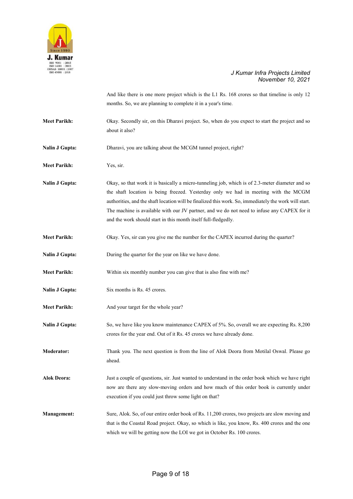

|                       | And like there is one more project which is the L1 Rs. 168 crores so that timeline is only 12<br>months. So, we are planning to complete it in a year's time.                                                                                                                                                                                                                                                                                                    |
|-----------------------|------------------------------------------------------------------------------------------------------------------------------------------------------------------------------------------------------------------------------------------------------------------------------------------------------------------------------------------------------------------------------------------------------------------------------------------------------------------|
| <b>Meet Parikh:</b>   | Okay. Secondly sir, on this Dharavi project. So, when do you expect to start the project and so<br>about it also?                                                                                                                                                                                                                                                                                                                                                |
| <b>Nalin J Gupta:</b> | Dharavi, you are talking about the MCGM tunnel project, right?                                                                                                                                                                                                                                                                                                                                                                                                   |
| <b>Meet Parikh:</b>   | Yes, sir.                                                                                                                                                                                                                                                                                                                                                                                                                                                        |
| <b>Nalin J Gupta:</b> | Okay, so that work it is basically a micro-tunneling job, which is of 2.3-meter diameter and so<br>the shaft location is being freezed. Yesterday only we had in meeting with the MCGM<br>authorities, and the shaft location will be finalized this work. So, immediately the work will start.<br>The machine is available with our JV partner, and we do not need to infuse any CAPEX for it<br>and the work should start in this month itself full-fledgedly. |
| <b>Meet Parikh:</b>   | Okay. Yes, sir can you give me the number for the CAPEX incurred during the quarter?                                                                                                                                                                                                                                                                                                                                                                             |
| <b>Nalin J Gupta:</b> | During the quarter for the year on like we have done.                                                                                                                                                                                                                                                                                                                                                                                                            |
| <b>Meet Parikh:</b>   | Within six monthly number you can give that is also fine with me?                                                                                                                                                                                                                                                                                                                                                                                                |
| <b>Nalin J Gupta:</b> | Six months is Rs. 45 crores.                                                                                                                                                                                                                                                                                                                                                                                                                                     |
| <b>Meet Parikh:</b>   | And your target for the whole year?                                                                                                                                                                                                                                                                                                                                                                                                                              |
| <b>Nalin J Gupta:</b> | So, we have like you know maintenance CAPEX of 5%. So, overall we are expecting Rs. 8,200<br>crores for the year end. Out of it Rs. 45 crores we have already done.                                                                                                                                                                                                                                                                                              |
| <b>Moderator:</b>     | Thank you. The next question is from the line of Alok Deora from Motilal Oswal. Please go<br>ahead.                                                                                                                                                                                                                                                                                                                                                              |
| Alok Deora:           | Just a couple of questions, sir. Just wanted to understand in the order book which we have right<br>now are there any slow-moving orders and how much of this order book is currently under<br>execution if you could just throw some light on that?                                                                                                                                                                                                             |
| <b>Management:</b>    | Sure, Alok. So, of our entire order book of Rs. 11,200 crores, two projects are slow moving and<br>that is the Coastal Road project. Okay, so which is like, you know, Rs. 400 crores and the one<br>which we will be getting now the LOI we got in October Rs. 100 crores.                                                                                                                                                                                      |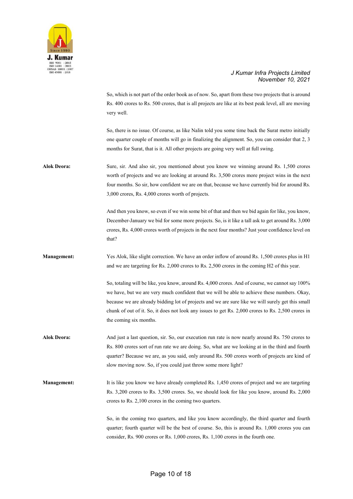

So, which is not part of the order book as of now. So, apart from these two projects that is around Rs. 400 crores to Rs. 500 crores, that is all projects are like at its best peak level, all are moving very well.

So, there is no issue. Of course, as like Nalin told you some time back the Surat metro initially one quarter couple of months will go in finalizing the alignment. So, you can consider that 2, 3 months for Surat, that is it. All other projects are going very well at full swing.

**Alok Deora:** Sure, sir. And also sir, you mentioned about you know we winning around Rs. 1,500 crores worth of projects and we are looking at around Rs. 3,500 crores more project wins in the next four months. So sir, how confident we are on that, because we have currently bid for around Rs. 3,000 crores, Rs. 4,000 crores worth of projects.

> And then you know, so even if we win some bit of that and then we bid again for like, you know, December-January we bid for some more projects. So, is it like a tall ask to get around Rs. 3,000 crores, Rs. 4,000 crores worth of projects in the next four months? Just your confidence level on that?

**Management:** Yes Alok, like slight correction. We have an order inflow of around Rs. 1,500 crores plus in H1 and we are targeting for Rs. 2,000 crores to Rs. 2,500 crores in the coming H2 of this year.

> So, totaling will be like, you know, around Rs. 4,000 crores. And of course, we cannot say 100% we have, but we are very much confident that we will be able to achieve these numbers. Okay, because we are already bidding lot of projects and we are sure like we will surely get this small chunk of out of it. So, it does not look any issues to get Rs. 2,000 crores to Rs. 2,500 crores in the coming six months.

**Alok Deora:** And just a last question, sir. So, our execution run rate is now nearly around Rs. 750 crores to Rs. 800 crores sort of run rate we are doing. So, what are we looking at in the third and fourth quarter? Because we are, as you said, only around Rs. 500 crores worth of projects are kind of slow moving now. So, if you could just throw some more light?

**Management:** It is like you know we have already completed Rs. 1,450 crores of project and we are targeting Rs. 3,200 crores to Rs. 3,500 crores. So, we should look for like you know, around Rs. 2,000 crores to Rs. 2,100 crores in the coming two quarters.

> So, in the coming two quarters, and like you know accordingly, the third quarter and fourth quarter; fourth quarter will be the best of course. So, this is around Rs. 1,000 crores you can consider, Rs. 900 crores or Rs. 1,000 crores, Rs. 1,100 crores in the fourth one.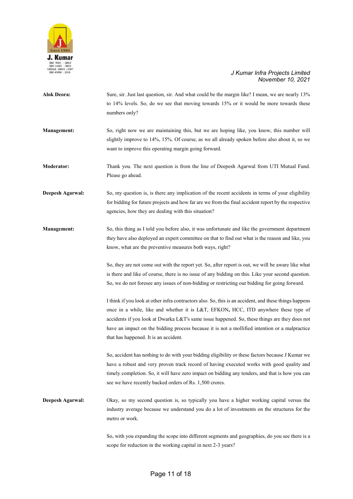

| <b>Alok Deora:</b>      | Sure, sir. Just last question, sir. And what could be the margin like? I mean, we are nearly 13%<br>to 14% levels. So, do we see that moving towards 15% or it would be more towards these<br>numbers only?                                                                                                                                                                                                                               |
|-------------------------|-------------------------------------------------------------------------------------------------------------------------------------------------------------------------------------------------------------------------------------------------------------------------------------------------------------------------------------------------------------------------------------------------------------------------------------------|
| <b>Management:</b>      | So, right now we are maintaining this, but we are hoping like, you know, this number will<br>slightly improve to 14%, 15%. Of course, as we all already spoken before also about it, so we<br>want to improve this operating margin going forward.                                                                                                                                                                                        |
| <b>Moderator:</b>       | Thank you. The next question is from the line of Deepesh Agarwal from UTI Mutual Fund.<br>Please go ahead.                                                                                                                                                                                                                                                                                                                                |
| <b>Deepesh Agarwal:</b> | So, my question is, is there any implication of the recent accidents in terms of your eligibility<br>for bidding for future projects and how far are we from the final accident report by the respective<br>agencies, how they are dealing with this situation?                                                                                                                                                                           |
| <b>Management:</b>      | So, this thing as I told you before also, it was unfortunate and like the government department<br>they have also deployed an expert committee on that to find out what is the reason and like, you<br>know, what are the preventive measures both ways, right?                                                                                                                                                                           |
|                         | So, they are not come out with the report yet. So, after report is out, we will be aware like what<br>is there and like of course, there is no issue of any bidding on this. Like your second question.<br>So, we do not foresee any issues of non-bidding or restricting our bidding for going forward.                                                                                                                                  |
|                         | I think if you look at other infra contractors also. So, this is an accident, and these things happens<br>once in a while, like and whether it is L&T, EFKON, HCC, ITD anywhere these type of<br>accidents if you look at Dwarka L&T's same issue happened. So, these things are they does not<br>have an impact on the bidding process because it is not a mollified intention or a malpractice<br>that has happened. It is an accident. |
|                         | So, accident has nothing to do with your bidding eligibility or these factors because J Kumar we<br>have a robust and very proven track record of having executed works with good quality and<br>timely completion. So, it will have zero impact on bidding any tenders, and that is how you can<br>see we have recently backed orders of Rs. 1,500 crores.                                                                               |
| Deepesh Agarwal:        | Okay, so my second question is, so typically you have a higher working capital versus the<br>industry average because we understand you do a lot of investments on the structures for the<br>metro or work.                                                                                                                                                                                                                               |
|                         | So, with you expanding the scope into different segments and geographies, do you see there is a<br>scope for reduction in the working capital in next 2-3 years?                                                                                                                                                                                                                                                                          |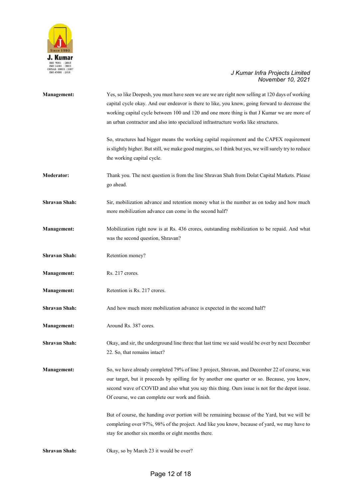

| <b>Management:</b>   | Yes, so like Deepesh, you must have seen we are we are right now selling at 120 days of working<br>capital cycle okay. And our endeavor is there to like, you know, going forward to decrease the<br>working capital cycle between 100 and 120 and one more thing is that J Kumar we are more of<br>an urban contractor and also into specialized infrastructure works like structures. |
|----------------------|-----------------------------------------------------------------------------------------------------------------------------------------------------------------------------------------------------------------------------------------------------------------------------------------------------------------------------------------------------------------------------------------|
|                      | So, structures had bigger means the working capital requirement and the CAPEX requirement<br>is slightly higher. But still, we make good margins, so I think but yes, we will surely try to reduce<br>the working capital cycle.                                                                                                                                                        |
| <b>Moderator:</b>    | Thank you. The next question is from the line Shravan Shah from Dolat Capital Markets. Please<br>go ahead.                                                                                                                                                                                                                                                                              |
| <b>Shravan Shah:</b> | Sir, mobilization advance and retention money what is the number as on today and how much<br>more mobilization advance can come in the second half?                                                                                                                                                                                                                                     |
| <b>Management:</b>   | Mobilization right now is at Rs. 436 crores, outstanding mobilization to be repaid. And what<br>was the second question, Shravan?                                                                                                                                                                                                                                                       |
| <b>Shravan Shah:</b> | Retention money?                                                                                                                                                                                                                                                                                                                                                                        |
| <b>Management:</b>   | Rs. 217 crores.                                                                                                                                                                                                                                                                                                                                                                         |
| <b>Management:</b>   | Retention is Rs. 217 crores.                                                                                                                                                                                                                                                                                                                                                            |
| <b>Shravan Shah:</b> | And how much more mobilization advance is expected in the second half?                                                                                                                                                                                                                                                                                                                  |
| <b>Management:</b>   | Around Rs. 387 cores.                                                                                                                                                                                                                                                                                                                                                                   |
| <b>Shravan Shah:</b> | Okay, and sir, the underground line three that last time we said would be over by next December<br>22. So, that remains intact?                                                                                                                                                                                                                                                         |
| <b>Management:</b>   | So, we have already completed 79% of line 3 project, Shravan, and December 22 of course, was<br>our target, but it proceeds by spilling for by another one quarter or so. Because, you know,<br>second wave of COVID and also what you say this thing. Ours issue is not for the depot issue.<br>Of course, we can complete our work and finish.                                        |
|                      | But of course, the handing over portion will be remaining because of the Yard, but we will be<br>completing over 97%, 98% of the project. And like you know, because of yard, we may have to<br>stay for another six months or eight months there.                                                                                                                                      |
| Shravan Shah:        | Okay, so by March 23 it would be over?                                                                                                                                                                                                                                                                                                                                                  |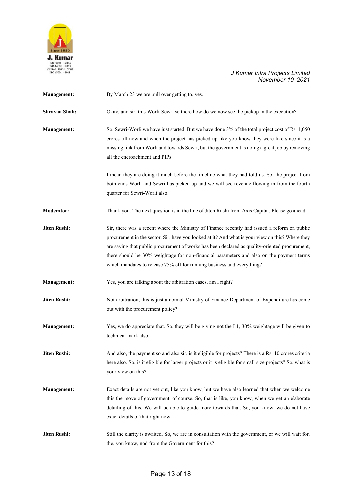

| <b>Management:</b>  | By March 23 we are pull over getting to, yes.                                                                                                                                                                                                                                                                                                                                                                                                                            |
|---------------------|--------------------------------------------------------------------------------------------------------------------------------------------------------------------------------------------------------------------------------------------------------------------------------------------------------------------------------------------------------------------------------------------------------------------------------------------------------------------------|
| Shravan Shah:       | Okay, and sir, this Worli-Sewri so there how do we now see the pickup in the execution?                                                                                                                                                                                                                                                                                                                                                                                  |
| Management:         | So, Sewri-Worli we have just started. But we have done 3% of the total project cost of Rs. 1,050<br>crores till now and when the project has picked up like you know they were like since it is a<br>missing link from Worli and towards Sewri, but the government is doing a great job by removing<br>all the encroachment and PIPs.                                                                                                                                    |
|                     | I mean they are doing it much before the timeline what they had told us. So, the project from<br>both ends Worli and Sewri has picked up and we will see revenue flowing in from the fourth<br>quarter for Sewri-Worli also.                                                                                                                                                                                                                                             |
| <b>Moderator:</b>   | Thank you. The next question is in the line of Jiten Rushi from Axis Capital. Please go ahead.                                                                                                                                                                                                                                                                                                                                                                           |
| <b>Jiten Rushi:</b> | Sir, there was a recent where the Ministry of Finance recently had issued a reform on public<br>procurement in the sector. Sir, have you looked at it? And what is your view on this? Where they<br>are saying that public procurement of works has been declared as quality-oriented procurement,<br>there should be 30% weightage for non-financial parameters and also on the payment terms<br>which mandates to release 75% off for running business and everything? |
| <b>Management:</b>  | Yes, you are talking about the arbitration cases, am I right?                                                                                                                                                                                                                                                                                                                                                                                                            |
| Jiten Rushi:        | Not arbitration, this is just a normal Ministry of Finance Department of Expenditure has come<br>out with the procurement policy?                                                                                                                                                                                                                                                                                                                                        |
| <b>Management:</b>  | Yes, we do appreciate that. So, they will be giving not the L1, 30% weightage will be given to<br>technical mark also.                                                                                                                                                                                                                                                                                                                                                   |
| Jiten Rushi:        | And also, the payment so and also sir, is it eligible for projects? There is a Rs. 10 crores criteria<br>here also. So, is it eligible for larger projects or it is eligible for small size projects? So, what is<br>your view on this?                                                                                                                                                                                                                                  |
| <b>Management:</b>  | Exact details are not yet out, like you know, but we have also learned that when we welcome<br>this the move of government, of course. So, thar is like, you know, when we get an elaborate<br>detailing of this. We will be able to guide more towards that. So, you know, we do not have<br>exact details of that right now.                                                                                                                                           |
| Jiten Rushi:        | Still the clarity is awaited. So, we are in consultation with the government, or we will wait for.<br>the, you know, nod from the Government for this?                                                                                                                                                                                                                                                                                                                   |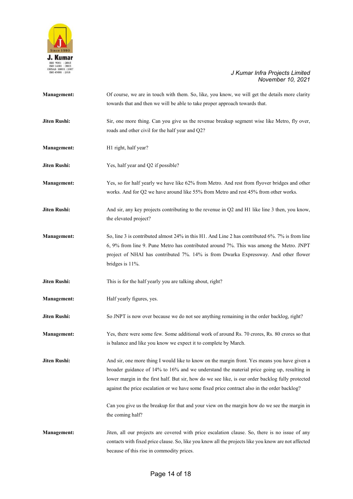

| <b>Management:</b>  | Of course, we are in touch with them. So, like, you know, we will get the details more clarity<br>towards that and then we will be able to take proper approach towards that.                                                                                                                                                                                                                   |
|---------------------|-------------------------------------------------------------------------------------------------------------------------------------------------------------------------------------------------------------------------------------------------------------------------------------------------------------------------------------------------------------------------------------------------|
| Jiten Rushi:        | Sir, one more thing. Can you give us the revenue breakup segment wise like Metro, fly over,<br>roads and other civil for the half year and Q2?                                                                                                                                                                                                                                                  |
| <b>Management:</b>  | H1 right, half year?                                                                                                                                                                                                                                                                                                                                                                            |
| <b>Jiten Rushi:</b> | Yes, half year and Q2 if possible?                                                                                                                                                                                                                                                                                                                                                              |
| <b>Management:</b>  | Yes, so for half yearly we have like 62% from Metro. And rest from flyover bridges and other<br>works. And for Q2 we have around like 55% from Metro and rest 45% from other works.                                                                                                                                                                                                             |
| <b>Jiten Rushi:</b> | And sir, any key projects contributing to the revenue in Q2 and H1 like line 3 then, you know,<br>the elevated project?                                                                                                                                                                                                                                                                         |
| <b>Management:</b>  | So, line 3 is contributed almost 24% in this H1. And Line 2 has contributed 6%. 7% is from line<br>6, 9% from line 9. Pune Metro has contributed around 7%. This was among the Metro. JNPT<br>project of NHAI has contributed 7%. 14% is from Dwarka Expressway. And other flower<br>bridges is 11%.                                                                                            |
| <b>Jiten Rushi:</b> | This is for the half yearly you are talking about, right?                                                                                                                                                                                                                                                                                                                                       |
| <b>Management:</b>  | Half yearly figures, yes.                                                                                                                                                                                                                                                                                                                                                                       |
| Jiten Rushi:        | So JNPT is now over because we do not see anything remaining in the order backlog, right?                                                                                                                                                                                                                                                                                                       |
| <b>Management:</b>  | Yes, there were some few. Some additional work of around Rs. 70 crores, Rs. 80 crores so that<br>is balance and like you know we expect it to complete by March.                                                                                                                                                                                                                                |
| <b>Jiten Rushi:</b> | And sir, one more thing I would like to know on the margin front. Yes means you have given a<br>broader guidance of 14% to 16% and we understand the material price going up, resulting in<br>lower margin in the first half. But sir, how do we see like, is our order backlog fully protected<br>against the price escalation or we have some fixed price contract also in the order backlog? |
|                     | Can you give us the breakup for that and your view on the margin how do we see the margin in<br>the coming half?                                                                                                                                                                                                                                                                                |
| <b>Management:</b>  | Jiten, all our projects are covered with price escalation clause. So, there is no issue of any<br>contacts with fixed price clause. So, like you know all the projects like you know are not affected<br>because of this rise in commodity prices.                                                                                                                                              |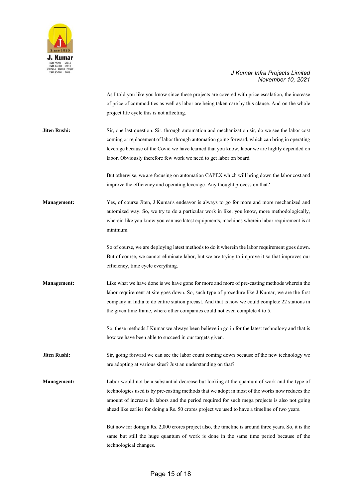

As I told you like you know since these projects are covered with price escalation, the increase of price of commodities as well as labor are being taken care by this clause. And on the whole project life cycle this is not affecting.

**Jiten Rushi:** Sir, one last question. Sir, through automation and mechanization sir, do we see the labor cost coming or replacement of labor through automation going forward, which can bring in operating leverage because of the Covid we have learned that you know, labor we are highly depended on labor. Obviously therefore few work we need to get labor on board.

> But otherwise, we are focusing on automation CAPEX which will bring down the labor cost and improve the efficiency and operating leverage. Any thought process on that?

**Management:** Yes, of course Jiten, J Kumar's endeavor is always to go for more and more mechanized and automized way. So, we try to do a particular work in like, you know, more methodologically, wherein like you know you can use latest equipments, machines wherein labor requirement is at minimum.

> So of course, we are deploying latest methods to do it wherein the labor requirement goes down. But of course, we cannot eliminate labor, but we are trying to improve it so that improves our efficiency, time cycle everything.

**Management:** Like what we have done is we have gone for more and more of pre-casting methods wherein the labor requirement at site goes down. So, such type of procedure like J Kumar, we are the first company in India to do entire station precast. And that is how we could complete 22 stations in the given time frame, where other companies could not even complete 4 to 5.

> So, these methods J Kumar we always been believe in go in for the latest technology and that is how we have been able to succeed in our targets given.

**Jiten Rushi:** Sir, going forward we can see the labor count coming down because of the new technology we are adopting at various sites? Just an understanding on that?

**Management:** Labor would not be a substantial decrease but looking at the quantum of work and the type of technologies used is by pre-casting methods that we adopt in most of the works now reduces the amount of increase in labors and the period required for such mega projects is also not going ahead like earlier for doing a Rs. 50 crores project we used to have a timeline of two years.

> But now for doing a Rs. 2,000 crores project also, the timeline is around three years. So, it is the same but still the huge quantum of work is done in the same time period because of the technological changes.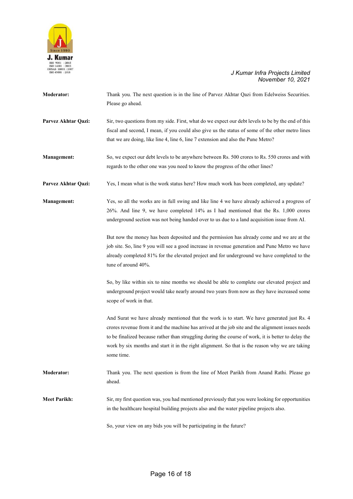

| <b>Moderator:</b>   | Thank you. The next question is in the line of Parvez Akhtar Qazi from Edelweiss Securities.        |
|---------------------|-----------------------------------------------------------------------------------------------------|
|                     | Please go ahead.                                                                                    |
|                     |                                                                                                     |
| Parvez Akhtar Qazi: | Sir, two questions from my side. First, what do we expect our debt levels to be by the end of this  |
|                     | fiscal and second, I mean, if you could also give us the status of some of the other metro lines    |
|                     | that we are doing, like line 4, line 6, line 7 extension and also the Pune Metro?                   |
| <b>Management:</b>  | So, we expect our debt levels to be anywhere between Rs. 500 crores to Rs. 550 crores and with      |
|                     | regards to the other one was you need to know the progress of the other lines?                      |
| Parvez Akhtar Qazi: | Yes, I mean what is the work status here? How much work has been completed, any update?             |
| <b>Management:</b>  | Yes, so all the works are in full swing and like line 4 we have already achieved a progress of      |
|                     | 26%. And line 9, we have completed 14% as I had mentioned that the Rs. 1,000 crores                 |
|                     | underground section was not being handed over to us due to a land acquisition issue from AI.        |
|                     | But now the money has been deposited and the permission has already come and we are at the          |
|                     | job site. So, line 9 you will see a good increase in revenue generation and Pune Metro we have      |
|                     | already completed 81% for the elevated project and for underground we have completed to the         |
|                     | tune of around 40%.                                                                                 |
|                     | So, by like within six to nine months we should be able to complete our elevated project and        |
|                     | underground project would take nearly around two years from now as they have increased some         |
|                     | scope of work in that.                                                                              |
|                     | And Surat we have already mentioned that the work is to start. We have generated just Rs. 4         |
|                     | crores revenue from it and the machine has arrived at the job site and the alignment issues needs   |
|                     | to be finalized because rather than struggling during the course of work, it is better to delay the |
|                     | work by six months and start it in the right alignment. So that is the reason why we are taking     |
|                     | some time.                                                                                          |
| <b>Moderator:</b>   | Thank you. The next question is from the line of Meet Parikh from Anand Rathi. Please go            |
|                     | ahead.                                                                                              |
| <b>Meet Parikh:</b> | Sir, my first question was, you had mentioned previously that you were looking for opportunities    |
|                     | in the healthcare hospital building projects also and the water pipeline projects also.             |
|                     | So, your view on any bids you will be participating in the future?                                  |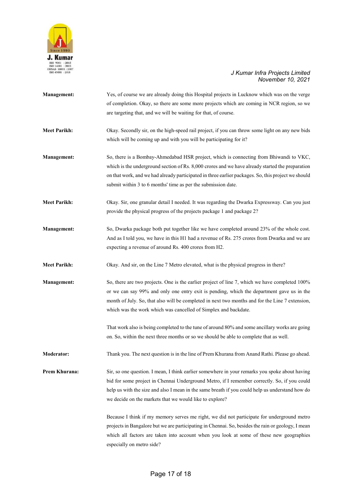

| <b>Management:</b>  | Yes, of course we are already doing this Hospital projects in Lucknow which was on the verge<br>of completion. Okay, so there are some more projects which are coming in NCR region, so we<br>are targeting that, and we will be waiting for that, of course.                                                                                                      |
|---------------------|--------------------------------------------------------------------------------------------------------------------------------------------------------------------------------------------------------------------------------------------------------------------------------------------------------------------------------------------------------------------|
| <b>Meet Parikh:</b> | Okay. Secondly sir, on the high-speed rail project, if you can throw some light on any new bids<br>which will be coming up and with you will be participating for it?                                                                                                                                                                                              |
| <b>Management:</b>  | So, there is a Bombay-Ahmedabad HSR project, which is connecting from Bhiwandi to VKC,<br>which is the underground section of Rs. 8,000 crores and we have already started the preparation<br>on that work, and we had already participated in three earlier packages. So, this project we should<br>submit within 3 to 6 months' time as per the submission date. |
| <b>Meet Parikh:</b> | Okay. Sir, one granular detail I needed. It was regarding the Dwarka Expressway. Can you just<br>provide the physical progress of the projects package 1 and package 2?                                                                                                                                                                                            |
| <b>Management:</b>  | So, Dwarka package both put together like we have completed around 23% of the whole cost.<br>And as I told you, we have in this H1 had a revenue of Rs. 275 crores from Dwarka and we are<br>expecting a revenue of around Rs. 400 crores from H2.                                                                                                                 |
| <b>Meet Parikh:</b> | Okay. And sir, on the Line 7 Metro elevated, what is the physical progress in there?                                                                                                                                                                                                                                                                               |
| <b>Management:</b>  | So, there are two projects. One is the earlier project of line 7, which we have completed 100%<br>or we can say 99% and only one entry exit is pending, which the department gave us in the<br>month of July. So, that also will be completed in next two months and for the Line 7 extension,<br>which was the work which was cancelled of Simplex and backdate.  |
|                     | That work also is being completed to the tune of around 80% and some ancillary works are going<br>on. So, within the next three months or so we should be able to complete that as well.                                                                                                                                                                           |
| <b>Moderator:</b>   | Thank you. The next question is in the line of Prem Khurana from Anand Rathi. Please go ahead.                                                                                                                                                                                                                                                                     |
| Prem Khurana:       | Sir, so one question. I mean, I think earlier somewhere in your remarks you spoke about having<br>bid for some project in Chennai Underground Metro, if I remember correctly. So, if you could<br>help us with the size and also I mean in the same breath if you could help us understand how do<br>we decide on the markets that we would like to explore?       |
|                     | Because I think if my memory serves me right, we did not participate for underground metro<br>projects in Bangalore but we are participating in Chennai. So, besides the rain or geology, I mean<br>which all factors are taken into account when you look at some of these new geographies<br>especially on metro side?                                           |